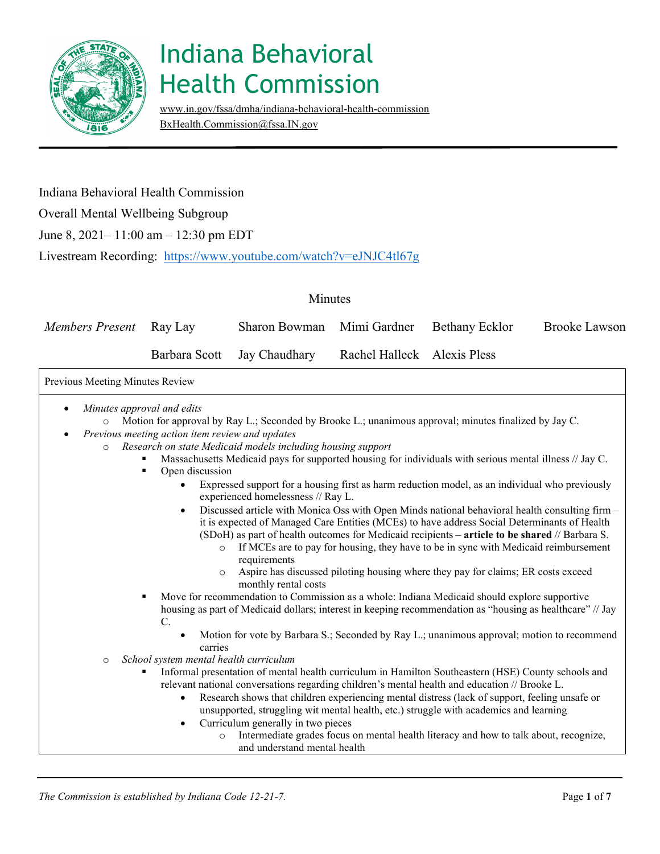

[www.in.gov/fssa/dmha/indiana-behavioral-health-commission](http://www.in.gov/fssa/dmha/indiana-behavioral-health-commission) [BxHealth.Commission@fssa.IN.gov](mailto:BxHealth.Commission@fssa.IN.gov) 

#### Indiana Behavioral Health Commission

#### Overall Mental Wellbeing Subgroup

June 8, 2021– 11:00 am – 12:30 pm EDT

Livestream Recording: <https://www.youtube.com/watch?v=eJNJC4tl67g>

| Members Present Ray Lay | Sharon Bowman Mimi Gardner Bethany Ecklor               |  | Brooke Lawson |
|-------------------------|---------------------------------------------------------|--|---------------|
|                         | Barbara Scott Jay Chaudhary Rachel Halleck Alexis Pless |  |               |

#### Previous Meeting Minutes Review • *Minutes approval and edits*

o Motion for approval by Ray L.; Seconded by Brooke L.; unanimous approval; minutes finalized by Jay C.

- *Previous meeting action item review and updates* 
	- o *Research on state Medicaid models including housing support* 
		- Massachusetts Medicaid pays for supported housing for individuals with serious mental illness // Jay C.
		- Open discussion
			- Expressed support for a housing first as harm reduction model, as an individual who previously experienced homelessness // Ray L.
			- Discussed article with Monica Oss with Open Minds national behavioral health consulting firm it is expected of Managed Care Entities (MCEs) to have address Social Determinants of Health (SDoH) as part of health outcomes for Medicaid recipients – **article to be shared** // Barbara S.
				- $\circ$  If MCEs are to pay for housing, they have to be in sync with Medicaid reimbursement requirements
				- o Aspire has discussed piloting housing where they pay for claims; ER costs exceed monthly rental costs

 Move for recommendation to Commission as a whole: Indiana Medicaid should explore supportive housing as part of Medicaid dollars; interest in keeping recommendation as "housing as healthcare" // Jay C.

- Motion for vote by Barbara S.; Seconded by Ray L.; unanimous approval; motion to recommend carries
- School system mental health curriculum
	- Informal presentation of mental health curriculum in Hamilton Southeastern (HSE) County schools and relevant national conversations regarding children's mental health and education // Brooke L.
		- • Research shows that children experiencing mental distress (lack of support, feeling unsafe or unsupported, struggling wit mental health, etc.) struggle with academics and learning
		- Curriculum generally in two pieces
			- o Intermediate grades focus on mental health literacy and how to talk about, recognize, and understand mental health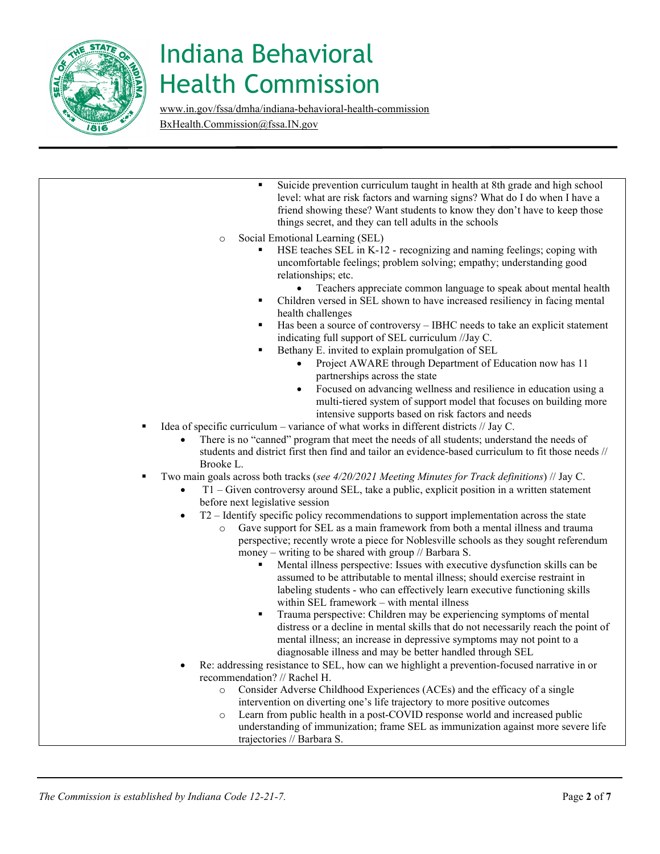

[www.in.gov/fssa/dmha/indiana-behavioral-health-commission](http://www.in.gov/fssa/dmha/indiana-behavioral-health-commission) [BxHealth.Commission@fssa.IN.gov](mailto:BxHealth.Commission@fssa.IN.gov) 

| Suicide prevention curriculum taught in health at 8th grade and high school<br>level: what are risk factors and warning signs? What do I do when I have a<br>friend showing these? Want students to know they don't have to keep those<br>things secret, and they can tell adults in the schools                                        |
|-----------------------------------------------------------------------------------------------------------------------------------------------------------------------------------------------------------------------------------------------------------------------------------------------------------------------------------------|
| Social Emotional Learning (SEL)<br>$\circ$<br>HSE teaches SEL in K-12 - recognizing and naming feelings; coping with<br>uncomfortable feelings; problem solving; empathy; understanding good<br>relationships; etc.<br>Teachers appreciate common language to speak about mental health                                                 |
| Children versed in SEL shown to have increased resiliency in facing mental<br>٠<br>health challenges<br>Has been a source of controversy – IBHC needs to take an explicit statement<br>٠                                                                                                                                                |
| indicating full support of SEL curriculum //Jay C.<br>Bethany E. invited to explain promulgation of SEL                                                                                                                                                                                                                                 |
| Project AWARE through Department of Education now has 11<br>$\bullet$<br>partnerships across the state                                                                                                                                                                                                                                  |
| Focused on advancing wellness and resilience in education using a<br>multi-tiered system of support model that focuses on building more<br>intensive supports based on risk factors and needs                                                                                                                                           |
| Idea of specific curriculum – variance of what works in different districts // Jay C.<br>٠<br>There is no "canned" program that meet the needs of all students; understand the needs of                                                                                                                                                 |
| students and district first then find and tailor an evidence-based curriculum to fit those needs //<br>Brooke L.                                                                                                                                                                                                                        |
| Two main goals across both tracks (see 4/20/2021 Meeting Minutes for Track definitions) // Jay C.<br>٠<br>T1 – Given controversy around SEL, take a public, explicit position in a written statement<br>$\bullet$<br>before next legislative session                                                                                    |
| T2 - Identify specific policy recommendations to support implementation across the state<br>Gave support for SEL as a main framework from both a mental illness and trauma<br>$\circ$<br>perspective; recently wrote a piece for Noblesville schools as they sought referendum<br>money – writing to be shared with group // Barbara S. |
| Mental illness perspective: Issues with executive dysfunction skills can be<br>assumed to be attributable to mental illness; should exercise restraint in<br>labeling students - who can effectively learn executive functioning skills<br>within SEL framework - with mental illness                                                   |
| Trauma perspective: Children may be experiencing symptoms of mental<br>٠<br>distress or a decline in mental skills that do not necessarily reach the point of<br>mental illness; an increase in depressive symptoms may not point to a<br>diagnosable illness and may be better handled through SEL                                     |
| Re: addressing resistance to SEL, how can we highlight a prevention-focused narrative in or                                                                                                                                                                                                                                             |
| recommendation? // Rachel H.<br>Consider Adverse Childhood Experiences (ACEs) and the efficacy of a single<br>$\circ$                                                                                                                                                                                                                   |
| intervention on diverting one's life trajectory to more positive outcomes<br>Learn from public health in a post-COVID response world and increased public<br>$\circ$<br>understanding of immunization; frame SEL as immunization against more severe life                                                                               |
| trajectories // Barbara S.                                                                                                                                                                                                                                                                                                              |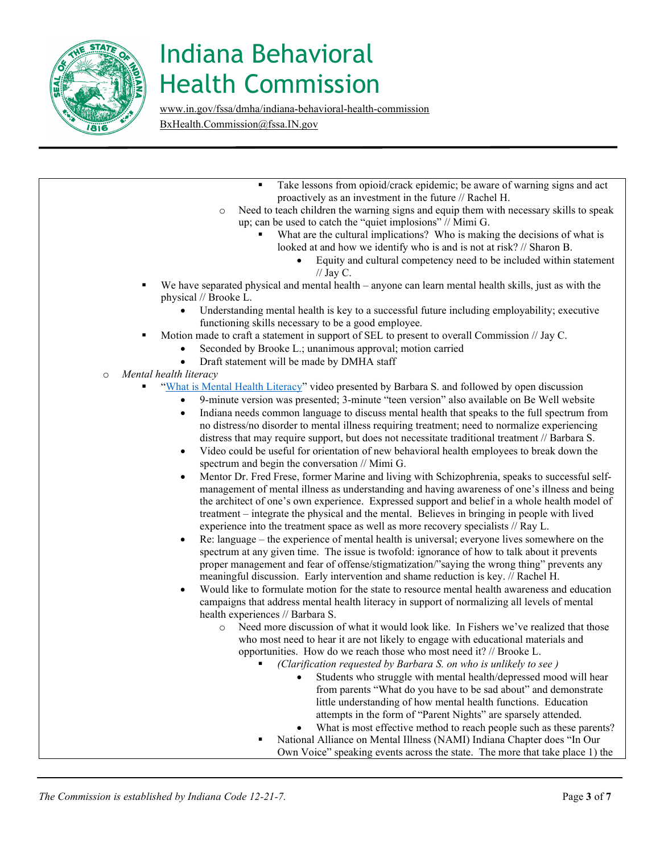

[www.in.gov/fssa/dmha/indiana-behavioral-health-commission](http://www.in.gov/fssa/dmha/indiana-behavioral-health-commission) [BxHealth.Commission@fssa.IN.gov](mailto:BxHealth.Commission@fssa.IN.gov) 

|         | Take lessons from opioid/crack epidemic; be aware of warning signs and act                                                      |
|---------|---------------------------------------------------------------------------------------------------------------------------------|
|         | proactively as an investment in the future // Rachel H.                                                                         |
|         | Need to teach children the warning signs and equip them with necessary skills to speak<br>$\circ$                               |
|         | up; can be used to catch the "quiet implosions" // Mimi G.                                                                      |
|         | What are the cultural implications? Who is making the decisions of what is                                                      |
|         | looked at and how we identify who is and is not at risk? // Sharon B.                                                           |
|         | Equity and cultural competency need to be included within statement<br>// Jay C.                                                |
|         | We have separated physical and mental health – anyone can learn mental health skills, just as with the<br>physical // Brooke L. |
|         | Understanding mental health is key to a successful future including employability; executive                                    |
|         | functioning skills necessary to be a good employee.                                                                             |
|         | Motion made to craft a statement in support of SEL to present to overall Commission // Jay C.<br>٠                              |
|         | Seconded by Brooke L.; unanimous approval; motion carried                                                                       |
|         | Draft statement will be made by DMHA staff<br>$\bullet$                                                                         |
| $\circ$ | Mental health literacy                                                                                                          |
|         | "What is Mental Health Literacy" video presented by Barbara S. and followed by open discussion                                  |
|         | 9-minute version was presented; 3-minute "teen version" also available on Be Well website<br>$\bullet$                          |
|         | Indiana needs common language to discuss mental health that speaks to the full spectrum from<br>$\bullet$                       |
|         | no distress/no disorder to mental illness requiring treatment; need to normalize experiencing                                   |
|         | distress that may require support, but does not necessitate traditional treatment // Barbara S.                                 |
|         | Video could be useful for orientation of new behavioral health employees to break down the<br>$\bullet$                         |
|         | spectrum and begin the conversation // Mimi G.                                                                                  |
|         | Mentor Dr. Fred Frese, former Marine and living with Schizophrenia, speaks to successful self-<br>$\bullet$                     |
|         | management of mental illness as understanding and having awareness of one's illness and being                                   |
|         | the architect of one's own experience. Expressed support and belief in a whole health model of                                  |
|         | treatment – integrate the physical and the mental. Believes in bringing in people with lived                                    |
|         | experience into the treatment space as well as more recovery specialists // Ray L.                                              |

- • Re: language the experience of mental health is universal; everyone lives somewhere on the spectrum at any given time. The issue is twofold: ignorance of how to talk about it prevents proper management and fear of offense/stigmatization/"saying the wrong thing" prevents any meaningful discussion. Early intervention and shame reduction is key. // Rachel H.
- campaigns that address mental health literacy in support of normalizing all levels of mental • Would like to formulate motion for the state to resource mental health awareness and education health experiences // Barbara S.
	- o Need more discussion of what it would look like. In Fishers we've realized that those who most need to hear it are not likely to engage with educational materials and opportunities. How do we reach those who most need it? // Brooke L.
		- *(Clarification requested by Barbara S. on who is unlikely to see )* 
			- from parents "What do you have to be sad about" and demonstrate Students who struggle with mental health/depressed mood will hear little understanding of how mental health functions. Education attempts in the form of "Parent Nights" are sparsely attended.
			- What is most effective method to reach people such as these parents?
			- National Alliance on Mental Illness (NAMI) Indiana Chapter does "In Our Own Voice" speaking events across the state. The more that take place 1) the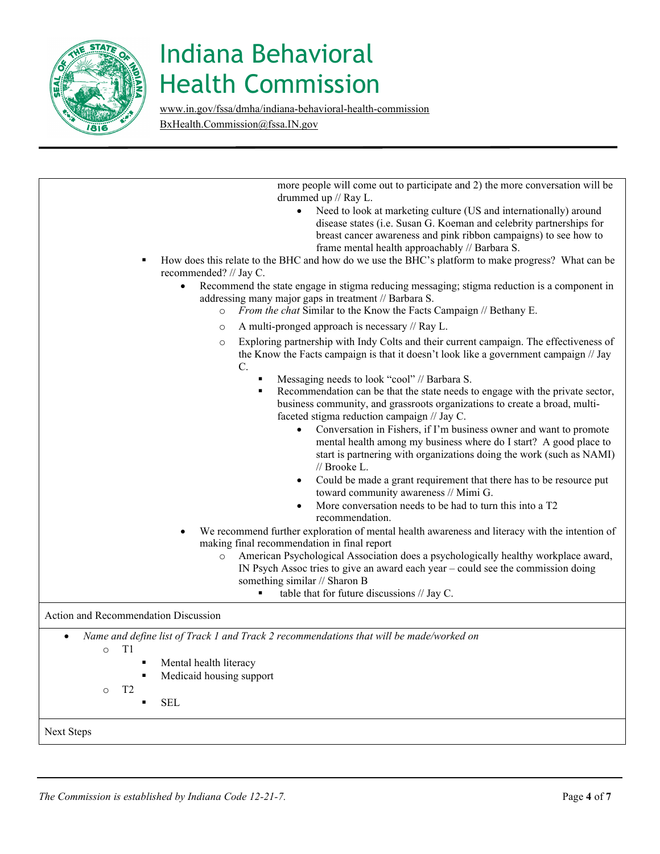

[www.in.gov/fssa/dmha/indiana-behavioral-health-commission](http://www.in.gov/fssa/dmha/indiana-behavioral-health-commission) [BxHealth.Commission@fssa.IN.gov](mailto:BxHealth.Commission@fssa.IN.gov) 

| drummed up // Ray L.<br>Need to look at marketing culture (US and internationally) around<br>$\bullet$<br>disease states (i.e. Susan G. Koeman and celebrity partnerships for<br>breast cancer awareness and pink ribbon campaigns) to see how to<br>frame mental health approachably // Barbara S.<br>How does this relate to the BHC and how do we use the BHC's platform to make progress? What can be<br>recommended? // Jay C.<br>Recommend the state engage in stigma reducing messaging; stigma reduction is a component in<br>$\bullet$<br>addressing many major gaps in treatment // Barbara S.<br>From the chat Similar to the Know the Facts Campaign // Bethany E.<br>$\circ$<br>A multi-pronged approach is necessary // Ray L.<br>$\circ$<br>Exploring partnership with Indy Colts and their current campaign. The effectiveness of<br>$\circ$<br>the Know the Facts campaign is that it doesn't look like a government campaign // Jay<br>$\mathbf{C}$ .<br>Messaging needs to look "cool" // Barbara S.<br>٠<br>Recommendation can be that the state needs to engage with the private sector,<br>business community, and grassroots organizations to create a broad, multi-<br>faceted stigma reduction campaign // Jay C.<br>Conversation in Fishers, if I'm business owner and want to promote<br>mental health among my business where do I start? A good place to<br>start is partnering with organizations doing the work (such as NAMI)<br>// Brooke L.<br>Could be made a grant requirement that there has to be resource put<br>toward community awareness // Mimi G.<br>More conversation needs to be had to turn this into a T2<br>recommendation.<br>We recommend further exploration of mental health awareness and literacy with the intention of<br>making final recommendation in final report<br>American Psychological Association does a psychologically healthy workplace award,<br>$\circ$<br>IN Psych Assoc tries to give an award each year – could see the commission doing<br>something similar // Sharon B<br>table that for future discussions // Jay C.<br>Name and define list of Track 1 and Track 2 recommendations that will be made/worked on<br>T1<br>$\circ$<br>Mental health literacy<br>٠<br>Medicaid housing support<br>T <sub>2</sub><br>$\circ$<br><b>SEL</b><br>П |                                      |
|---------------------------------------------------------------------------------------------------------------------------------------------------------------------------------------------------------------------------------------------------------------------------------------------------------------------------------------------------------------------------------------------------------------------------------------------------------------------------------------------------------------------------------------------------------------------------------------------------------------------------------------------------------------------------------------------------------------------------------------------------------------------------------------------------------------------------------------------------------------------------------------------------------------------------------------------------------------------------------------------------------------------------------------------------------------------------------------------------------------------------------------------------------------------------------------------------------------------------------------------------------------------------------------------------------------------------------------------------------------------------------------------------------------------------------------------------------------------------------------------------------------------------------------------------------------------------------------------------------------------------------------------------------------------------------------------------------------------------------------------------------------------------------------------------------------------------------------------------------------------------------------------------------------------------------------------------------------------------------------------------------------------------------------------------------------------------------------------------------------------------------------------------------------------------------------------------------------------------------------------------------------------------------------------------------------------------|--------------------------------------|
|                                                                                                                                                                                                                                                                                                                                                                                                                                                                                                                                                                                                                                                                                                                                                                                                                                                                                                                                                                                                                                                                                                                                                                                                                                                                                                                                                                                                                                                                                                                                                                                                                                                                                                                                                                                                                                                                                                                                                                                                                                                                                                                                                                                                                                                                                                                           |                                      |
|                                                                                                                                                                                                                                                                                                                                                                                                                                                                                                                                                                                                                                                                                                                                                                                                                                                                                                                                                                                                                                                                                                                                                                                                                                                                                                                                                                                                                                                                                                                                                                                                                                                                                                                                                                                                                                                                                                                                                                                                                                                                                                                                                                                                                                                                                                                           |                                      |
|                                                                                                                                                                                                                                                                                                                                                                                                                                                                                                                                                                                                                                                                                                                                                                                                                                                                                                                                                                                                                                                                                                                                                                                                                                                                                                                                                                                                                                                                                                                                                                                                                                                                                                                                                                                                                                                                                                                                                                                                                                                                                                                                                                                                                                                                                                                           |                                      |
|                                                                                                                                                                                                                                                                                                                                                                                                                                                                                                                                                                                                                                                                                                                                                                                                                                                                                                                                                                                                                                                                                                                                                                                                                                                                                                                                                                                                                                                                                                                                                                                                                                                                                                                                                                                                                                                                                                                                                                                                                                                                                                                                                                                                                                                                                                                           |                                      |
|                                                                                                                                                                                                                                                                                                                                                                                                                                                                                                                                                                                                                                                                                                                                                                                                                                                                                                                                                                                                                                                                                                                                                                                                                                                                                                                                                                                                                                                                                                                                                                                                                                                                                                                                                                                                                                                                                                                                                                                                                                                                                                                                                                                                                                                                                                                           |                                      |
|                                                                                                                                                                                                                                                                                                                                                                                                                                                                                                                                                                                                                                                                                                                                                                                                                                                                                                                                                                                                                                                                                                                                                                                                                                                                                                                                                                                                                                                                                                                                                                                                                                                                                                                                                                                                                                                                                                                                                                                                                                                                                                                                                                                                                                                                                                                           | Action and Recommendation Discussion |
|                                                                                                                                                                                                                                                                                                                                                                                                                                                                                                                                                                                                                                                                                                                                                                                                                                                                                                                                                                                                                                                                                                                                                                                                                                                                                                                                                                                                                                                                                                                                                                                                                                                                                                                                                                                                                                                                                                                                                                                                                                                                                                                                                                                                                                                                                                                           |                                      |
|                                                                                                                                                                                                                                                                                                                                                                                                                                                                                                                                                                                                                                                                                                                                                                                                                                                                                                                                                                                                                                                                                                                                                                                                                                                                                                                                                                                                                                                                                                                                                                                                                                                                                                                                                                                                                                                                                                                                                                                                                                                                                                                                                                                                                                                                                                                           | Next Steps                           |